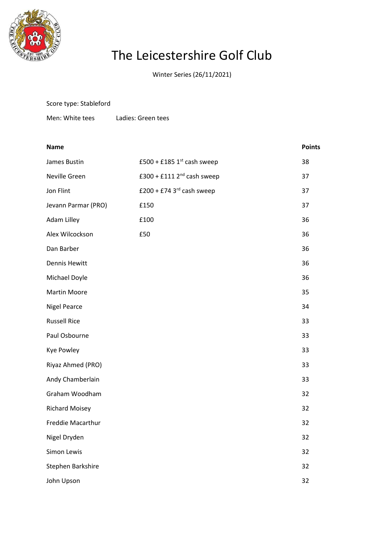

Score type: Stableford

## The Leicestershire Golf Club

Winter Series (26/11/2021)

| Men: White tees       | Ladies: Green tees           |               |
|-----------------------|------------------------------|---------------|
| <b>Name</b>           |                              | <b>Points</b> |
| James Bustin          | £500 + £185 $1st$ cash sweep | 38            |
| Neville Green         | £300 + £111 $2nd$ cash sweep | 37            |
| Jon Flint             | £200 + £74 3 $rd$ cash sweep | 37            |
| Jevann Parmar (PRO)   | £150                         | 37            |
| Adam Lilley           | £100                         | 36            |
| Alex Wilcockson       | £50                          | 36            |
| Dan Barber            |                              | 36            |
| <b>Dennis Hewitt</b>  |                              | 36            |
| Michael Doyle         |                              | 36            |
| <b>Martin Moore</b>   |                              | 35            |
| <b>Nigel Pearce</b>   |                              | 34            |
| <b>Russell Rice</b>   |                              | 33            |
| Paul Osbourne         |                              | 33            |
| Kye Powley            |                              | 33            |
| Riyaz Ahmed (PRO)     |                              | 33            |
| Andy Chamberlain      |                              | 33            |
| Graham Woodham        |                              | 32            |
| <b>Richard Moisey</b> |                              | 32            |
| Freddie Macarthur     |                              | 32            |
| Nigel Dryden          |                              | 32            |
| Simon Lewis           |                              | 32            |
| Stephen Barkshire     |                              | 32            |
| John Upson            |                              | 32            |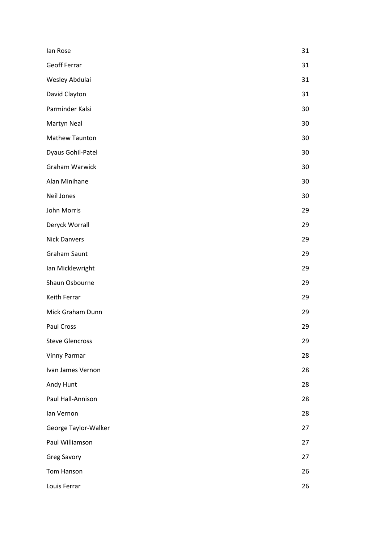| lan Rose               | 31 |
|------------------------|----|
| <b>Geoff Ferrar</b>    | 31 |
| Wesley Abdulai         | 31 |
| David Clayton          | 31 |
| Parminder Kalsi        | 30 |
| Martyn Neal            | 30 |
| Mathew Taunton         | 30 |
| Dyaus Gohil-Patel      | 30 |
| Graham Warwick         | 30 |
| Alan Minihane          | 30 |
| Neil Jones             | 30 |
| John Morris            | 29 |
| Deryck Worrall         | 29 |
| <b>Nick Danvers</b>    | 29 |
| <b>Graham Saunt</b>    | 29 |
| Ian Micklewright       | 29 |
| Shaun Osbourne         | 29 |
| Keith Ferrar           | 29 |
| Mick Graham Dunn       | 29 |
| Paul Cross             | 29 |
| <b>Steve Glencross</b> | 29 |
| <b>Vinny Parmar</b>    | 28 |
| Ivan James Vernon      | 28 |
| Andy Hunt              | 28 |
| Paul Hall-Annison      | 28 |
| Ian Vernon             | 28 |
| George Taylor-Walker   | 27 |
| Paul Williamson        | 27 |
| <b>Greg Savory</b>     | 27 |
| Tom Hanson             | 26 |
| Louis Ferrar           | 26 |